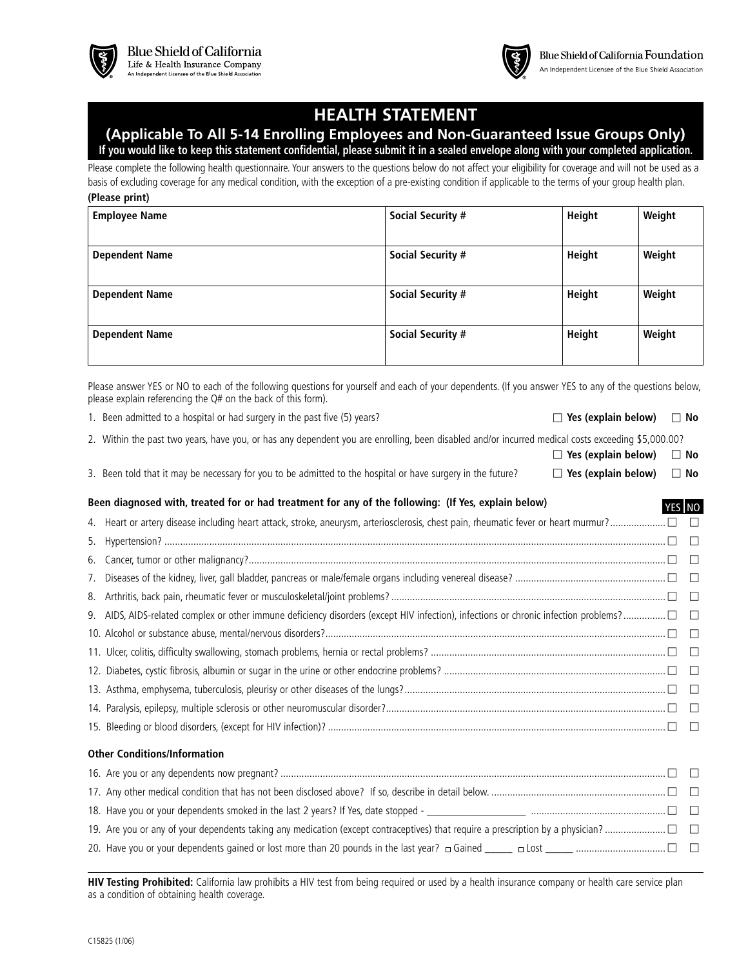

# **HEALTH STATEMENT**

# **(Applicable To All 5-14 Enrolling Employees and Non-Guaranteed Issue Groups Only)**

**If you would like to keep this statement confidential, please submit it in a sealed envelope along with your completed application.**

Please complete the following health questionnaire. Your answers to the questions below do not affect your eligibility for coverage and will not be used as a basis of excluding coverage for any medical condition, with the exception of a pre-existing condition if applicable to the terms of your group health plan. **(Please print)**

| <b>Employee Name</b>  | <b>Social Security #</b> | Height | Weight |
|-----------------------|--------------------------|--------|--------|
| <b>Dependent Name</b> | <b>Social Security #</b> | Height | Weight |
| <b>Dependent Name</b> | <b>Social Security #</b> | Height | Weight |
| <b>Dependent Name</b> | <b>Social Security #</b> | Height | Weight |

Please answer YES or NO to each of the following questions for yourself and each of your dependents. (If you answer YES to any of the questions below, please explain referencing the Q# on the back of this form).

1. Been admitted to a hospital or had surgery in the past five (5) years? **COM COM COM COM COM COM COM COM COM COM COM COM COM COM COM COM COM COM COM COM COM COM COM COM CO** 

**c** Yes (explain below)  $\Box$  No

YES NO

- 2. Within the past two years, have you, or has any dependent you are enrolling, been disabled and/or incurred medical costs exceeding \$5,000.00?
- 3. Been told that it may be necessary for you to be admitted to the hospital or have surgery in the future?  $\square$  Yes (explain below)  $\square$  No

### **Been diagnosed with, treated for or had treatment for any of the following: (If Yes, explain below)**

|                                                                                                  | $\Box$ |
|--------------------------------------------------------------------------------------------------|--------|
|                                                                                                  |        |
|                                                                                                  |        |
|                                                                                                  |        |
|                                                                                                  |        |
|                                                                                                  |        |
|                                                                                                  |        |
|                                                                                                  |        |
|                                                                                                  |        |
|                                                                                                  |        |
| <b>Other Conditions/Information</b>                                                              |        |
|                                                                                                  |        |
| 17 Apy other modical condition that has not been disclosed above? If so describe in detail below | n n    |

| 18. Have you or your dependents smoked in the last 2 years? If Yes, date stopped - |  |
|------------------------------------------------------------------------------------|--|
|                                                                                    |  |
|                                                                                    |  |

**HIV Testing Prohibited:** California law prohibits a HIV test from being required or used by a health insurance company or health care service plan as a condition of obtaining health coverage.